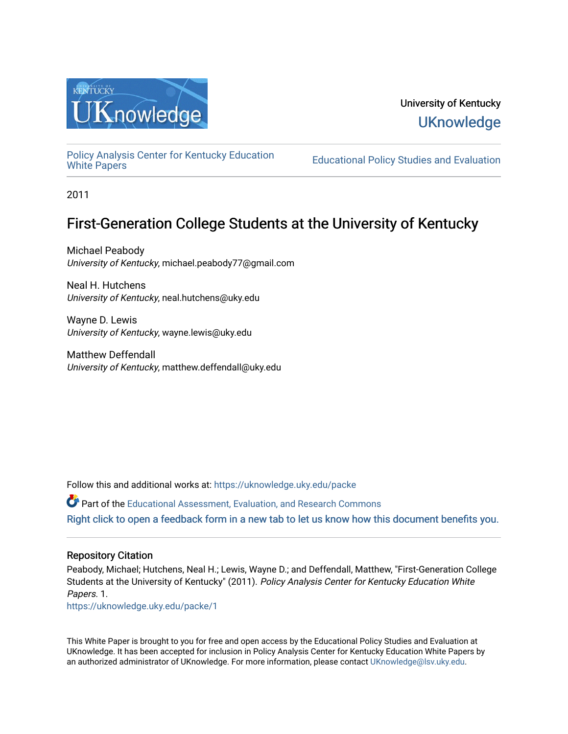

# University of Kentucky **UKnowledge**

[Policy Analysis Center for Kentucky Education](https://uknowledge.uky.edu/packe) 

**Educational Policy Studies and Evaluation** 

2011

# First-Generation College Students at the University of Kentucky

Michael Peabody University of Kentucky, michael.peabody77@gmail.com

Neal H. Hutchens University of Kentucky, neal.hutchens@uky.edu

Wayne D. Lewis University of Kentucky, wayne.lewis@uky.edu

Matthew Deffendall University of Kentucky, matthew.deffendall@uky.edu

Follow this and additional works at: [https://uknowledge.uky.edu/packe](https://uknowledge.uky.edu/packe?utm_source=uknowledge.uky.edu%2Fpacke%2F1&utm_medium=PDF&utm_campaign=PDFCoverPages)

Part of the [Educational Assessment, Evaluation, and Research Commons](http://network.bepress.com/hgg/discipline/796?utm_source=uknowledge.uky.edu%2Fpacke%2F1&utm_medium=PDF&utm_campaign=PDFCoverPages) [Right click to open a feedback form in a new tab to let us know how this document benefits you.](https://uky.az1.qualtrics.com/jfe/form/SV_9mq8fx2GnONRfz7)

# Repository Citation

Peabody, Michael; Hutchens, Neal H.; Lewis, Wayne D.; and Deffendall, Matthew, "First-Generation College Students at the University of Kentucky" (2011). Policy Analysis Center for Kentucky Education White Papers. 1.

[https://uknowledge.uky.edu/packe/1](https://uknowledge.uky.edu/packe/1?utm_source=uknowledge.uky.edu%2Fpacke%2F1&utm_medium=PDF&utm_campaign=PDFCoverPages) 

This White Paper is brought to you for free and open access by the Educational Policy Studies and Evaluation at UKnowledge. It has been accepted for inclusion in Policy Analysis Center for Kentucky Education White Papers by an authorized administrator of UKnowledge. For more information, please contact [UKnowledge@lsv.uky.edu](mailto:UKnowledge@lsv.uky.edu).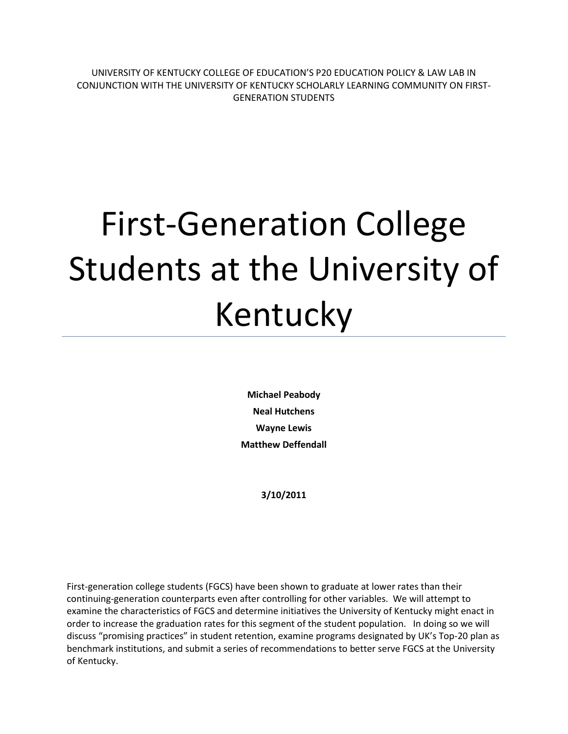UNIVERSITY OF KENTUCKY COLLEGE OF EDUCATION'S P20 EDUCATION POLICY & LAW LAB IN CONJUNCTION WITH THE UNIVERSITY OF KENTUCKY SCHOLARLY LEARNING COMMUNITY ON FIRST-GENERATION STUDENTS

# First-Generation College Students at the University of Kentucky

**Michael Peabody Neal Hutchens Wayne Lewis Matthew Deffendall**

**3/10/2011**

First-generation college students (FGCS) have been shown to graduate at lower rates than their continuing-generation counterparts even after controlling for other variables. We will attempt to examine the characteristics of FGCS and determine initiatives the University of Kentucky might enact in order to increase the graduation rates for this segment of the student population. In doing so we will discuss "promising practices" in student retention, examine programs designated by UK's Top-20 plan as benchmark institutions, and submit a series of recommendations to better serve FGCS at the University of Kentucky.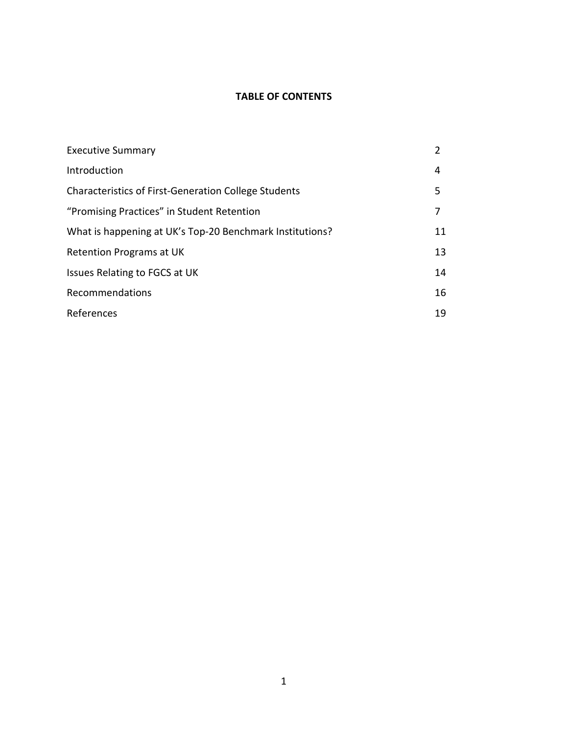## **TABLE OF CONTENTS**

| <b>Executive Summary</b>                                    |    |
|-------------------------------------------------------------|----|
| Introduction                                                | 4  |
| <b>Characteristics of First-Generation College Students</b> | 5. |
| "Promising Practices" in Student Retention                  |    |
| What is happening at UK's Top-20 Benchmark Institutions?    | 11 |
| Retention Programs at UK                                    | 13 |
| Issues Relating to FGCS at UK                               | 14 |
| Recommendations                                             | 16 |
| References                                                  | 19 |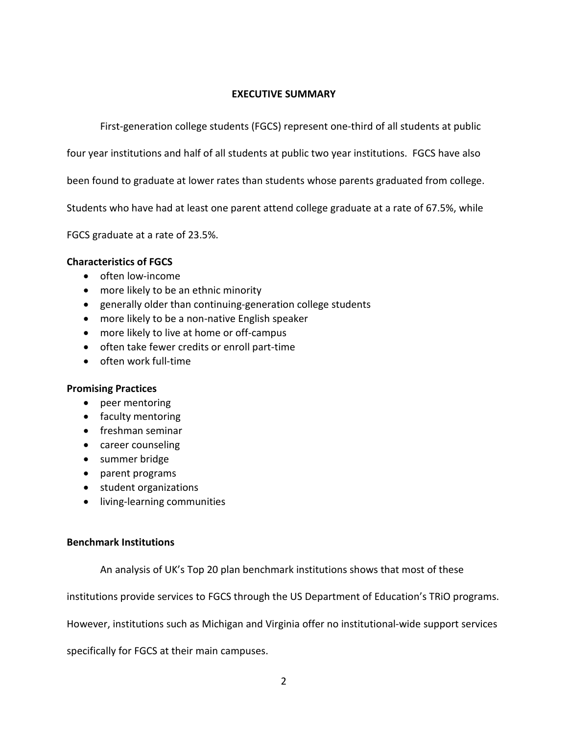# **EXECUTIVE SUMMARY**

First-generation college students (FGCS) represent one-third of all students at public

four year institutions and half of all students at public two year institutions. FGCS have also

been found to graduate at lower rates than students whose parents graduated from college.

Students who have had at least one parent attend college graduate at a rate of 67.5%, while

FGCS graduate at a rate of 23.5%.

# **Characteristics of FGCS**

- often low-income
- more likely to be an ethnic minority
- generally older than continuing-generation college students
- more likely to be a non-native English speaker
- more likely to live at home or off-campus
- often take fewer credits or enroll part-time
- often work full-time

# **Promising Practices**

- peer mentoring
- faculty mentoring
- freshman seminar
- career counseling
- summer bridge
- parent programs
- student organizations
- living-learning communities

# **Benchmark Institutions**

An analysis of UK's Top 20 plan benchmark institutions shows that most of these

institutions provide services to FGCS through the US Department of Education's TRiO programs.

However, institutions such as Michigan and Virginia offer no institutional-wide support services

specifically for FGCS at their main campuses.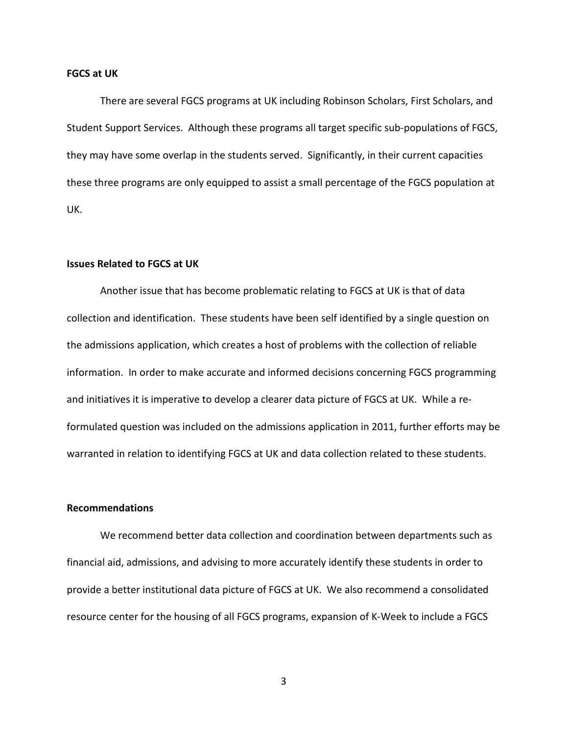#### **FGCS at UK**

There are several FGCS programs at UK including Robinson Scholars, First Scholars, and Student Support Services. Although these programs all target specific sub-populations of FGCS, they may have some overlap in the students served. Significantly, in their current capacities these three programs are only equipped to assist a small percentage of the FGCS population at UK.

#### **Issues Related to FGCS at UK**

Another issue that has become problematic relating to FGCS at UK is that of data collection and identification. These students have been self identified by a single question on the admissions application, which creates a host of problems with the collection of reliable information. In order to make accurate and informed decisions concerning FGCS programming and initiatives it is imperative to develop a clearer data picture of FGCS at UK. While a reformulated question was included on the admissions application in 2011, further efforts may be warranted in relation to identifying FGCS at UK and data collection related to these students.

### **Recommendations**

We recommend better data collection and coordination between departments such as financial aid, admissions, and advising to more accurately identify these students in order to provide a better institutional data picture of FGCS at UK. We also recommend a consolidated resource center for the housing of all FGCS programs, expansion of K-Week to include a FGCS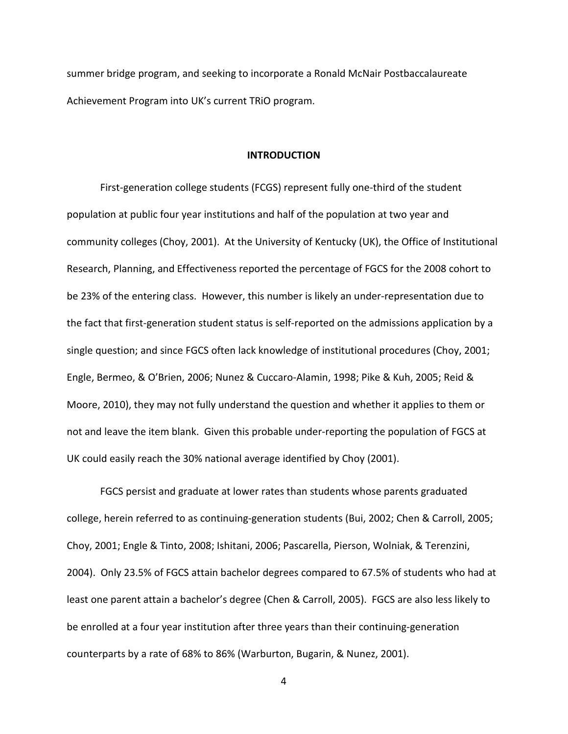summer bridge program, and seeking to incorporate a Ronald McNair Postbaccalaureate Achievement Program into UK's current TRiO program.

#### **INTRODUCTION**

First-generation college students (FCGS) represent fully one-third of the student population at public four year institutions and half of the population at two year and community colleges (Choy, 2001). At the University of Kentucky (UK), the Office of Institutional Research, Planning, and Effectiveness reported the percentage of FGCS for the 2008 cohort to be 23% of the entering class. However, this number is likely an under-representation due to the fact that first-generation student status is self-reported on the admissions application by a single question; and since FGCS often lack knowledge of institutional procedures (Choy, 2001; Engle, Bermeo, & O'Brien, 2006; Nunez & Cuccaro-Alamin, 1998; Pike & Kuh, 2005; Reid & Moore, 2010), they may not fully understand the question and whether it applies to them or not and leave the item blank. Given this probable under-reporting the population of FGCS at UK could easily reach the 30% national average identified by Choy (2001).

FGCS persist and graduate at lower rates than students whose parents graduated college, herein referred to as continuing-generation students (Bui, 2002; Chen & Carroll, 2005; Choy, 2001; Engle & Tinto, 2008; Ishitani, 2006; Pascarella, Pierson, Wolniak, & Terenzini, 2004). Only 23.5% of FGCS attain bachelor degrees compared to 67.5% of students who had at least one parent attain a bachelor's degree (Chen & Carroll, 2005). FGCS are also less likely to be enrolled at a four year institution after three years than their continuing-generation counterparts by a rate of 68% to 86% (Warburton, Bugarin, & Nunez, 2001).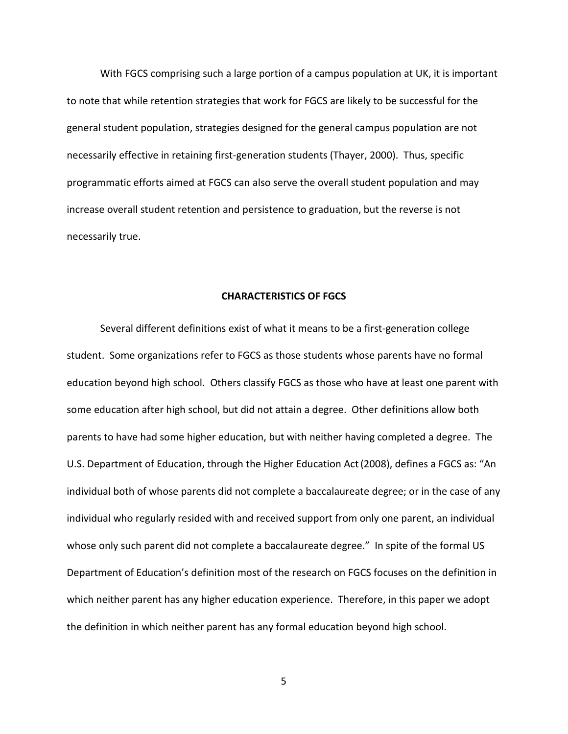With FGCS comprising such a large portion of a campus population at UK, it is important to note that while retention strategies that work for FGCS are likely to be successful for the general student population, strategies designed for the general campus population are not necessarily effective in retaining first-generation students (Thayer, 2000). Thus, specific programmatic efforts aimed at FGCS can also serve the overall student population and may increase overall student retention and persistence to graduation, but the reverse is not necessarily true.

#### **CHARACTERISTICS OF FGCS**

Several different definitions exist of what it means to be a first-generation college student. Some organizations refer to FGCS as those students whose parents have no formal education beyond high school. Others classify FGCS as those who have at least one parent with some education after high school, but did not attain a degree. Other definitions allow both parents to have had some higher education, but with neither having completed a degree. The U.S. Department of Education, through the Higher Education Act(2008), defines a FGCS as: "An individual both of whose parents did not complete a baccalaureate degree; or in the case of any individual who regularly resided with and received support from only one parent, an individual whose only such parent did not complete a baccalaureate degree." In spite of the formal US Department of Education's definition most of the research on FGCS focuses on the definition in which neither parent has any higher education experience. Therefore, in this paper we adopt the definition in which neither parent has any formal education beyond high school.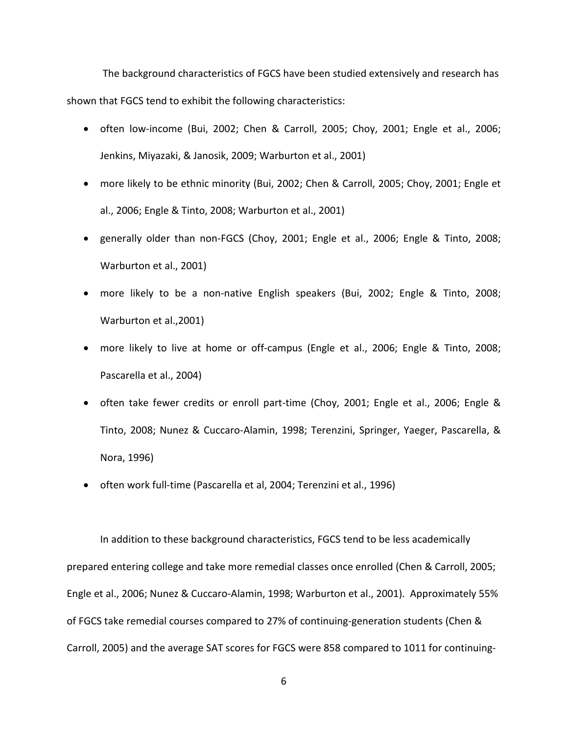The background characteristics of FGCS have been studied extensively and research has shown that FGCS tend to exhibit the following characteristics:

- often low-income (Bui, 2002; Chen & Carroll, 2005; Choy, 2001; Engle et al., 2006; Jenkins, Miyazaki, & Janosik, 2009; Warburton et al., 2001)
- more likely to be ethnic minority (Bui, 2002; Chen & Carroll, 2005; Choy, 2001; Engle et al., 2006; Engle & Tinto, 2008; Warburton et al., 2001)
- generally older than non-FGCS (Choy, 2001; Engle et al., 2006; Engle & Tinto, 2008; Warburton et al., 2001)
- more likely to be a non-native English speakers (Bui, 2002; Engle & Tinto, 2008; Warburton et al.,2001)
- more likely to live at home or off-campus (Engle et al., 2006; Engle & Tinto, 2008; Pascarella et al., 2004)
- often take fewer credits or enroll part-time (Choy, 2001; Engle et al., 2006; Engle & Tinto, 2008; Nunez & Cuccaro-Alamin, 1998; Terenzini, Springer, Yaeger, Pascarella, & Nora, 1996)
- often work full-time (Pascarella et al, 2004; Terenzini et al., 1996)

In addition to these background characteristics, FGCS tend to be less academically prepared entering college and take more remedial classes once enrolled (Chen & Carroll, 2005; Engle et al., 2006; Nunez & Cuccaro-Alamin, 1998; Warburton et al., 2001). Approximately 55% of FGCS take remedial courses compared to 27% of continuing-generation students (Chen & Carroll, 2005) and the average SAT scores for FGCS were 858 compared to 1011 for continuing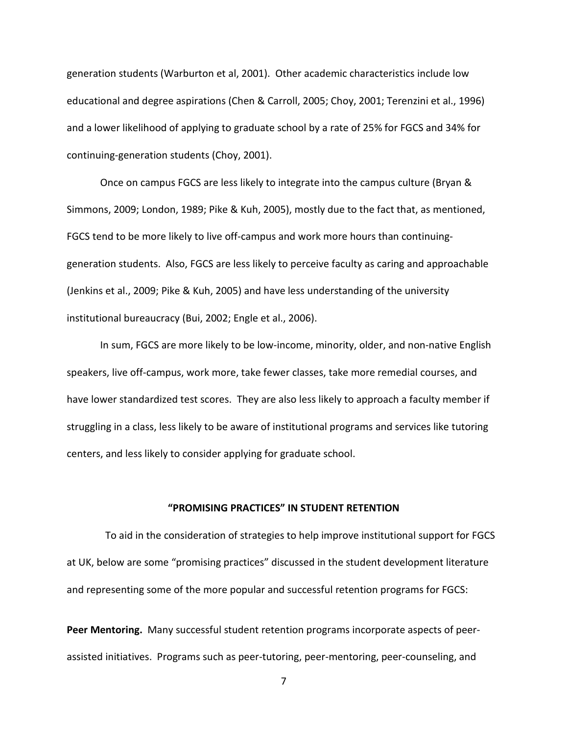generation students (Warburton et al, 2001). Other academic characteristics include low educational and degree aspirations (Chen & Carroll, 2005; Choy, 2001; Terenzini et al., 1996) and a lower likelihood of applying to graduate school by a rate of 25% for FGCS and 34% for continuing-generation students (Choy, 2001).

Once on campus FGCS are less likely to integrate into the campus culture (Bryan & Simmons, 2009; London, 1989; Pike & Kuh, 2005), mostly due to the fact that, as mentioned, FGCS tend to be more likely to live off-campus and work more hours than continuinggeneration students. Also, FGCS are less likely to perceive faculty as caring and approachable (Jenkins et al., 2009; Pike & Kuh, 2005) and have less understanding of the university institutional bureaucracy (Bui, 2002; Engle et al., 2006).

In sum, FGCS are more likely to be low-income, minority, older, and non-native English speakers, live off-campus, work more, take fewer classes, take more remedial courses, and have lower standardized test scores. They are also less likely to approach a faculty member if struggling in a class, less likely to be aware of institutional programs and services like tutoring centers, and less likely to consider applying for graduate school.

#### **"PROMISING PRACTICES" IN STUDENT RETENTION**

 To aid in the consideration of strategies to help improve institutional support for FGCS at UK, below are some "promising practices" discussed in the student development literature and representing some of the more popular and successful retention programs for FGCS:

**Peer Mentoring.** Many successful student retention programs incorporate aspects of peerassisted initiatives. Programs such as peer-tutoring, peer-mentoring, peer-counseling, and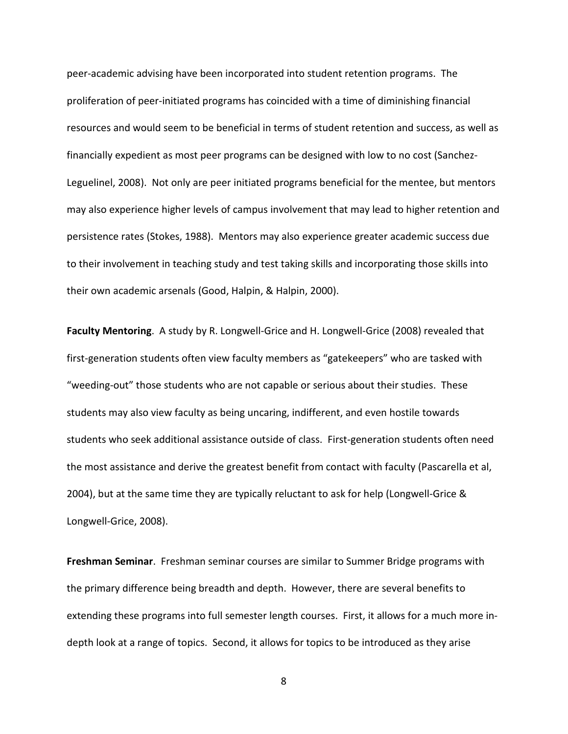peer-academic advising have been incorporated into student retention programs. The proliferation of peer-initiated programs has coincided with a time of diminishing financial resources and would seem to be beneficial in terms of student retention and success, as well as financially expedient as most peer programs can be designed with low to no cost (Sanchez-Leguelinel, 2008). Not only are peer initiated programs beneficial for the mentee, but mentors may also experience higher levels of campus involvement that may lead to higher retention and persistence rates (Stokes, 1988). Mentors may also experience greater academic success due to their involvement in teaching study and test taking skills and incorporating those skills into their own academic arsenals (Good, Halpin, & Halpin, 2000).

**Faculty Mentoring**. A study by R. Longwell-Grice and H. Longwell-Grice (2008) revealed that first-generation students often view faculty members as "gatekeepers" who are tasked with "weeding-out" those students who are not capable or serious about their studies. These students may also view faculty as being uncaring, indifferent, and even hostile towards students who seek additional assistance outside of class. First-generation students often need the most assistance and derive the greatest benefit from contact with faculty (Pascarella et al, 2004), but at the same time they are typically reluctant to ask for help (Longwell-Grice & Longwell-Grice, 2008).

**Freshman Seminar**. Freshman seminar courses are similar to Summer Bridge programs with the primary difference being breadth and depth. However, there are several benefits to extending these programs into full semester length courses. First, it allows for a much more indepth look at a range of topics. Second, it allows for topics to be introduced as they arise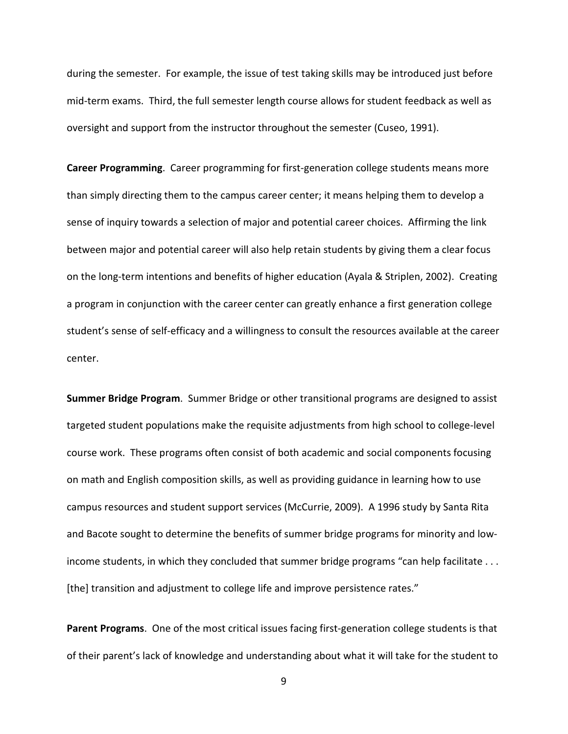during the semester. For example, the issue of test taking skills may be introduced just before mid-term exams. Third, the full semester length course allows for student feedback as well as oversight and support from the instructor throughout the semester (Cuseo, 1991).

**Career Programming**. Career programming for first-generation college students means more than simply directing them to the campus career center; it means helping them to develop a sense of inquiry towards a selection of major and potential career choices. Affirming the link between major and potential career will also help retain students by giving them a clear focus on the long-term intentions and benefits of higher education (Ayala & Striplen, 2002). Creating a program in conjunction with the career center can greatly enhance a first generation college student's sense of self-efficacy and a willingness to consult the resources available at the career center.

**Summer Bridge Program**. Summer Bridge or other transitional programs are designed to assist targeted student populations make the requisite adjustments from high school to college-level course work. These programs often consist of both academic and social components focusing on math and English composition skills, as well as providing guidance in learning how to use campus resources and student support services (McCurrie, 2009). A 1996 study by Santa Rita and Bacote sought to determine the benefits of summer bridge programs for minority and lowincome students, in which they concluded that summer bridge programs "can help facilitate . . . [the] transition and adjustment to college life and improve persistence rates."

**Parent Programs**. One of the most critical issues facing first-generation college students is that of their parent's lack of knowledge and understanding about what it will take for the student to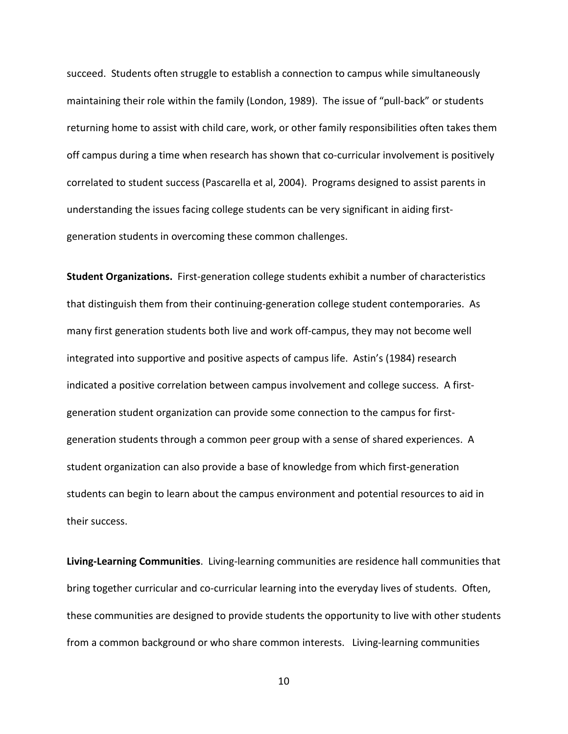succeed. Students often struggle to establish a connection to campus while simultaneously maintaining their role within the family (London, 1989). The issue of "pull-back" or students returning home to assist with child care, work, or other family responsibilities often takes them off campus during a time when research has shown that co-curricular involvement is positively correlated to student success (Pascarella et al, 2004). Programs designed to assist parents in understanding the issues facing college students can be very significant in aiding firstgeneration students in overcoming these common challenges.

**Student Organizations.** First-generation college students exhibit a number of characteristics that distinguish them from their continuing-generation college student contemporaries. As many first generation students both live and work off-campus, they may not become well integrated into supportive and positive aspects of campus life. Astin's (1984) research indicated a positive correlation between campus involvement and college success. A firstgeneration student organization can provide some connection to the campus for firstgeneration students through a common peer group with a sense of shared experiences. A student organization can also provide a base of knowledge from which first-generation students can begin to learn about the campus environment and potential resources to aid in their success.

**Living-Learning Communities**. Living-learning communities are residence hall communities that bring together curricular and co-curricular learning into the everyday lives of students. Often, these communities are designed to provide students the opportunity to live with other students from a common background or who share common interests. Living-learning communities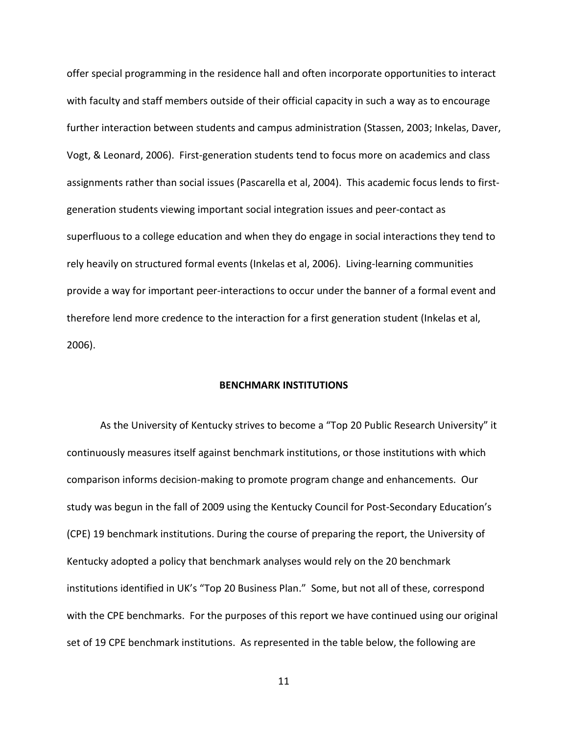offer special programming in the residence hall and often incorporate opportunities to interact with faculty and staff members outside of their official capacity in such a way as to encourage further interaction between students and campus administration (Stassen, 2003; Inkelas, Daver, Vogt, & Leonard, 2006). First-generation students tend to focus more on academics and class assignments rather than social issues (Pascarella et al, 2004). This academic focus lends to firstgeneration students viewing important social integration issues and peer-contact as superfluous to a college education and when they do engage in social interactions they tend to rely heavily on structured formal events (Inkelas et al, 2006). Living-learning communities provide a way for important peer-interactions to occur under the banner of a formal event and therefore lend more credence to the interaction for a first generation student (Inkelas et al, 2006).

#### **BENCHMARK INSTITUTIONS**

As the University of Kentucky strives to become a "Top 20 Public Research University" it continuously measures itself against benchmark institutions, or those institutions with which comparison informs decision-making to promote program change and enhancements. Our study was begun in the fall of 2009 using the Kentucky Council for Post-Secondary Education's (CPE) 19 benchmark institutions. During the course of preparing the report, the University of Kentucky adopted a policy that benchmark analyses would rely on the 20 benchmark institutions identified in UK's "Top 20 Business Plan." Some, but not all of these, correspond with the CPE benchmarks. For the purposes of this report we have continued using our original set of 19 CPE benchmark institutions. As represented in the table below, the following are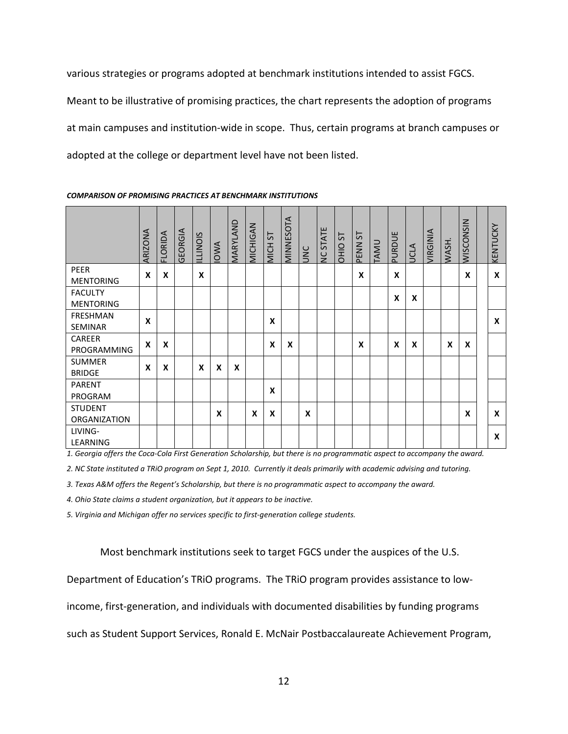various strategies or programs adopted at benchmark institutions intended to assist FGCS. Meant to be illustrative of promising practices, the chart represents the adoption of programs at main campuses and institution-wide in scope. Thus, certain programs at branch campuses or adopted at the college or department level have not been listed.

|                                       | <b>ARIZONA</b> | FLORIDA | <b>GEORGIA</b> | <b>ILLINOIS</b> | <b>IOWA</b>      | MARYLAND | MICHIGAN                  | 57<br>MICH <sub>3</sub> | MINNESOTA | UNC | NC STATE | 55<br>OHIO | PENN <sub>ST</sub> | TAMU | PURDUE | <b>UCLA</b>      | <b>/IRGINIA</b> | WASH. | WISCONSIN | KENTUCKY |
|---------------------------------------|----------------|---------|----------------|-----------------|------------------|----------|---------------------------|-------------------------|-----------|-----|----------|------------|--------------------|------|--------|------------------|-----------------|-------|-----------|----------|
| PEER<br><b>MENTORING</b>              | X              | X       |                | X               |                  |          |                           |                         |           |     |          |            | X                  |      | X      |                  |                 |       | X         | X        |
| <b>FACULTY</b><br><b>MENTORING</b>    |                |         |                |                 |                  |          |                           |                         |           |     |          |            |                    |      | X      | $\boldsymbol{x}$ |                 |       |           |          |
| FRESHMAN<br>SEMINAR                   | X              |         |                |                 |                  |          |                           | X                       |           |     |          |            |                    |      |        |                  |                 |       |           | X        |
| <b>CAREER</b><br>PROGRAMMING          | X              | X       |                |                 |                  |          |                           | $\boldsymbol{x}$        | X         |     |          |            | X                  |      | X      | X                |                 | X     | X         |          |
| <b>SUMMER</b><br><b>BRIDGE</b>        | X              | X       |                | X               | X                | X        |                           |                         |           |     |          |            |                    |      |        |                  |                 |       |           |          |
| PARENT<br>PROGRAM                     |                |         |                |                 |                  |          |                           | X                       |           |     |          |            |                    |      |        |                  |                 |       |           |          |
| <b>STUDENT</b><br><b>ORGANIZATION</b> |                |         |                |                 | $\boldsymbol{x}$ |          | $\boldsymbol{\mathsf{x}}$ | X                       |           | X   |          |            |                    |      |        |                  |                 |       | X         | X        |
| LIVING-<br>LEARNING                   |                |         |                |                 |                  |          |                           |                         |           |     |          |            |                    |      |        |                  |                 |       |           | X        |

#### *COMPARISON OF PROMISING PRACTICES AT BENCHMARK INSTITUTIONS*

*1. Georgia offers the Coca-Cola First Generation Scholarship, but there is no programmatic aspect to accompany the award.*

*2. NC State instituted a TRiO program on Sept 1, 2010. Currently it deals primarily with academic advising and tutoring.*

*3. Texas A&M offers the Regent's Scholarship, but there is no programmatic aspect to accompany the award.*

*4. Ohio State claims a student organization, but it appears to be inactive.*

*5. Virginia and Michigan offer no services specific to first-generation college students.*

Most benchmark institutions seek to target FGCS under the auspices of the U.S.

Department of Education's TRiO programs. The TRiO program provides assistance to low-

income, first-generation, and individuals with documented disabilities by funding programs

such as Student Support Services, Ronald E. McNair Postbaccalaureate Achievement Program,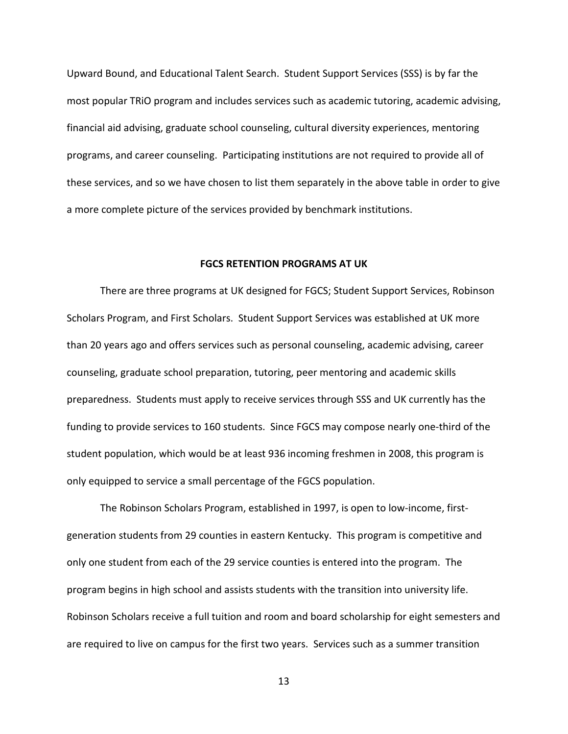Upward Bound, and Educational Talent Search. Student Support Services (SSS) is by far the most popular TRiO program and includes services such as academic tutoring, academic advising, financial aid advising, graduate school counseling, cultural diversity experiences, mentoring programs, and career counseling. Participating institutions are not required to provide all of these services, and so we have chosen to list them separately in the above table in order to give a more complete picture of the services provided by benchmark institutions.

#### **FGCS RETENTION PROGRAMS AT UK**

There are three programs at UK designed for FGCS; Student Support Services, Robinson Scholars Program, and First Scholars. Student Support Services was established at UK more than 20 years ago and offers services such as personal counseling, academic advising, career counseling, graduate school preparation, tutoring, peer mentoring and academic skills preparedness. Students must apply to receive services through SSS and UK currently has the funding to provide services to 160 students. Since FGCS may compose nearly one-third of the student population, which would be at least 936 incoming freshmen in 2008, this program is only equipped to service a small percentage of the FGCS population.

The Robinson Scholars Program, established in 1997, is open to low-income, firstgeneration students from 29 counties in eastern Kentucky. This program is competitive and only one student from each of the 29 service counties is entered into the program. The program begins in high school and assists students with the transition into university life. Robinson Scholars receive a full tuition and room and board scholarship for eight semesters and are required to live on campus for the first two years. Services such as a summer transition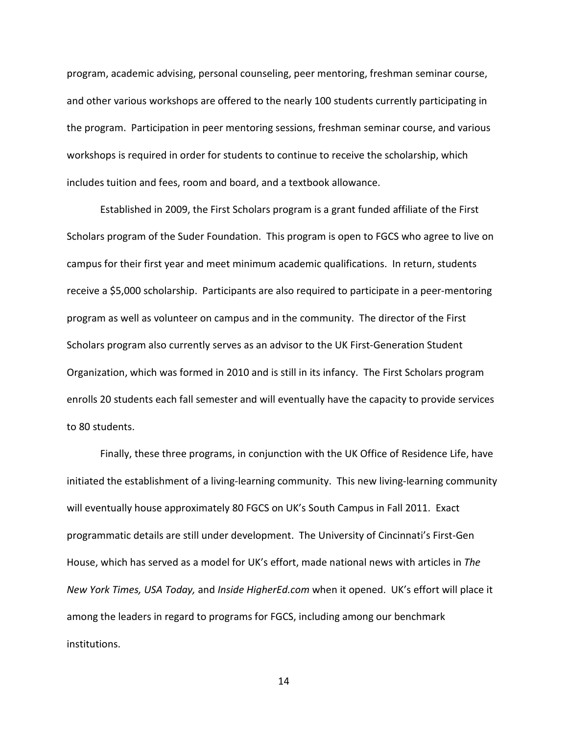program, academic advising, personal counseling, peer mentoring, freshman seminar course, and other various workshops are offered to the nearly 100 students currently participating in the program. Participation in peer mentoring sessions, freshman seminar course, and various workshops is required in order for students to continue to receive the scholarship, which includes tuition and fees, room and board, and a textbook allowance.

Established in 2009, the First Scholars program is a grant funded affiliate of the First Scholars program of the Suder Foundation. This program is open to FGCS who agree to live on campus for their first year and meet minimum academic qualifications. In return, students receive a \$5,000 scholarship. Participants are also required to participate in a peer-mentoring program as well as volunteer on campus and in the community. The director of the First Scholars program also currently serves as an advisor to the UK First-Generation Student Organization, which was formed in 2010 and is still in its infancy. The First Scholars program enrolls 20 students each fall semester and will eventually have the capacity to provide services to 80 students.

Finally, these three programs, in conjunction with the UK Office of Residence Life, have initiated the establishment of a living-learning community. This new living-learning community will eventually house approximately 80 FGCS on UK's South Campus in Fall 2011. Exact programmatic details are still under development. The University of Cincinnati's First-Gen House, which has served as a model for UK's effort, made national news with articles in *The New York Times, USA Today,* and *Inside HigherEd.com* when it opened. UK's effort will place it among the leaders in regard to programs for FGCS, including among our benchmark institutions.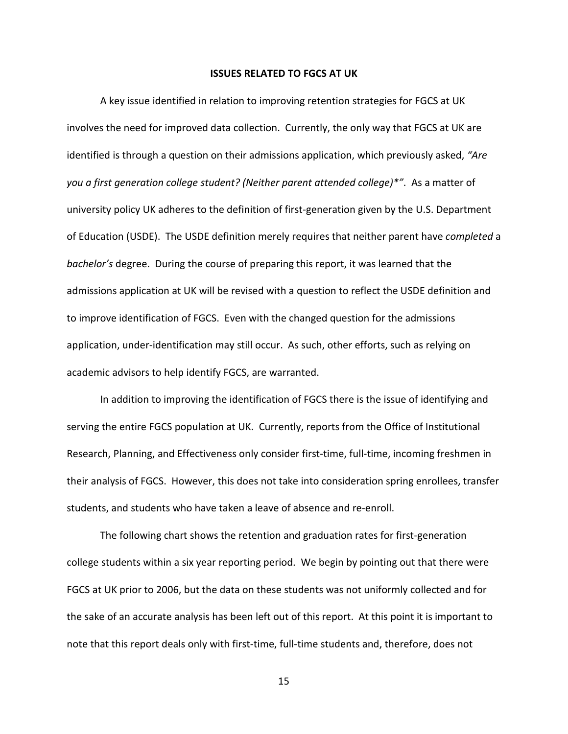#### **ISSUES RELATED TO FGCS AT UK**

A key issue identified in relation to improving retention strategies for FGCS at UK involves the need for improved data collection. Currently, the only way that FGCS at UK are identified is through a question on their admissions application, which previously asked, *"Are you a first generation college student? (Neither parent attended college)\*"*. As a matter of university policy UK adheres to the definition of first-generation given by the U.S. Department of Education (USDE). The USDE definition merely requires that neither parent have *completed* a *bachelor's* degree. During the course of preparing this report, it was learned that the admissions application at UK will be revised with a question to reflect the USDE definition and to improve identification of FGCS. Even with the changed question for the admissions application, under-identification may still occur. As such, other efforts, such as relying on academic advisors to help identify FGCS, are warranted.

In addition to improving the identification of FGCS there is the issue of identifying and serving the entire FGCS population at UK. Currently, reports from the Office of Institutional Research, Planning, and Effectiveness only consider first-time, full-time, incoming freshmen in their analysis of FGCS. However, this does not take into consideration spring enrollees, transfer students, and students who have taken a leave of absence and re-enroll.

The following chart shows the retention and graduation rates for first-generation college students within a six year reporting period. We begin by pointing out that there were FGCS at UK prior to 2006, but the data on these students was not uniformly collected and for the sake of an accurate analysis has been left out of this report. At this point it is important to note that this report deals only with first-time, full-time students and, therefore, does not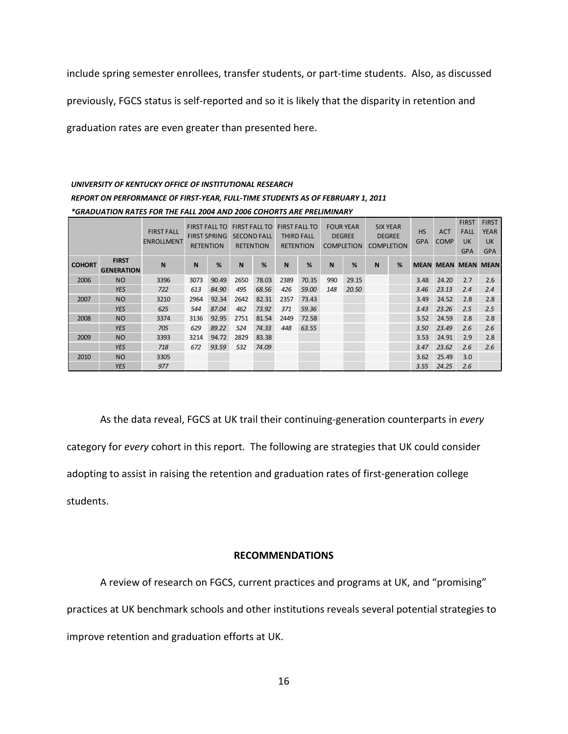include spring semester enrollees, transfer students, or part-time students. Also, as discussed

previously, FGCS status is self-reported and so it is likely that the disparity in retention and

graduation rates are even greater than presented here.

# *UNIVERSITY OF KENTUCKY OFFICE OF INSTITUTIONAL RESEARCH REPORT ON PERFORMANCE OF FIRST-YEAR, FULL-TIME STUDENTS AS OF FEBRUARY 1, 2011 \*GRADUATION RATES FOR THE FALL 2004 AND 2006 COHORTS ARE PRELIMINARY*

|               |                                   | <b>FIRST FALL</b><br><b>ENROLLMENT</b> | <b>FIRST FALL TO</b><br><b>FIRST SPRING</b><br><b>RETENTION</b> |       | <b>FIRST FALL TO</b><br><b>SECOND FALL</b><br><b>RETENTION</b> |       | <b>FIRST FALL TO</b><br><b>THIRD FALL</b><br><b>RETENTION</b> |       | <b>FOUR YEAR</b><br><b>DEGREE</b><br><b>COMPLETION</b> |       | <b>SIX YEAR</b><br><b>DEGREE</b><br><b>COMPLETION</b> |   | <b>HS</b><br><b>GPA</b> | <b>ACT</b><br><b>COMP</b>  | <b>FIRST</b><br><b>FALL</b><br>UK<br><b>GPA</b> | <b>FIRST</b><br><b>YEAR</b><br><b>UK</b><br><b>GPA</b> |
|---------------|-----------------------------------|----------------------------------------|-----------------------------------------------------------------|-------|----------------------------------------------------------------|-------|---------------------------------------------------------------|-------|--------------------------------------------------------|-------|-------------------------------------------------------|---|-------------------------|----------------------------|-------------------------------------------------|--------------------------------------------------------|
| <b>COHORT</b> | <b>FIRST</b><br><b>GENERATION</b> | N                                      | N                                                               | %     | <b>N</b>                                                       | %     | <b>N</b>                                                      | %     | N                                                      | %     | N                                                     | % |                         | <b>MEAN MEAN MEAN MEAN</b> |                                                 |                                                        |
| 2006          | <b>NO</b>                         | 3396                                   | 3073                                                            | 90.49 | 2650                                                           | 78.03 | 2389                                                          | 70.35 | 990                                                    | 29.15 |                                                       |   | 3.48                    | 24.20                      | 2.7                                             | 2.6                                                    |
|               | <b>YES</b>                        | 722                                    | 613                                                             | 84.90 | 495                                                            | 68.56 | 426                                                           | 59.00 | 148                                                    | 20.50 |                                                       |   | 3.46                    | 23.13                      | 2.4                                             | 2.4                                                    |
| 2007          | <b>NO</b>                         | 3210                                   | 2964                                                            | 92.34 | 2642                                                           | 82.31 | 2357                                                          | 73.43 |                                                        |       |                                                       |   | 3.49                    | 24.52                      | 2.8                                             | 2.8                                                    |
|               | <b>YES</b>                        | 625                                    | 544                                                             | 87.04 | 462                                                            | 73.92 | 371                                                           | 59.36 |                                                        |       |                                                       |   | 3.43                    | 23.26                      | 2.5                                             | 2.5                                                    |
| 2008          | <b>NO</b>                         | 3374                                   | 3136                                                            | 92.95 | 2751                                                           | 81.54 | 2449                                                          | 72.58 |                                                        |       |                                                       |   | 3.52                    | 24.59                      | 2.8                                             | 2.8                                                    |
|               | <b>YES</b>                        | 705                                    | 629                                                             | 89.22 | 524                                                            | 74.33 | 448                                                           | 63.55 |                                                        |       |                                                       |   | 3.50                    | 23.49                      | 2.6                                             | 2.6                                                    |
| 2009          | <b>NO</b>                         | 3393                                   | 3214                                                            | 94.72 | 2829                                                           | 83.38 |                                                               |       |                                                        |       |                                                       |   | 3.53                    | 24.91                      | 2.9                                             | 2.8                                                    |
|               | <b>YES</b>                        | 718                                    | 672                                                             | 93.59 | 532                                                            | 74.09 |                                                               |       |                                                        |       |                                                       |   | 3.47                    | 23.62                      | 2.6                                             | 2.6                                                    |
| 2010          | <b>NO</b>                         | 3305                                   |                                                                 |       |                                                                |       |                                                               |       |                                                        |       |                                                       |   | 3.62                    | 25.49                      | 3.0                                             |                                                        |
|               | <b>YES</b>                        | 977                                    |                                                                 |       |                                                                |       |                                                               |       |                                                        |       |                                                       |   | 3.55                    | 24.25                      | 2.6                                             |                                                        |

As the data reveal, FGCS at UK trail their continuing-generation counterparts in *every* category for *every* cohort in this report. The following are strategies that UK could consider adopting to assist in raising the retention and graduation rates of first-generation college students.

#### **RECOMMENDATIONS**

A review of research on FGCS, current practices and programs at UK, and "promising" practices at UK benchmark schools and other institutions reveals several potential strategies to improve retention and graduation efforts at UK.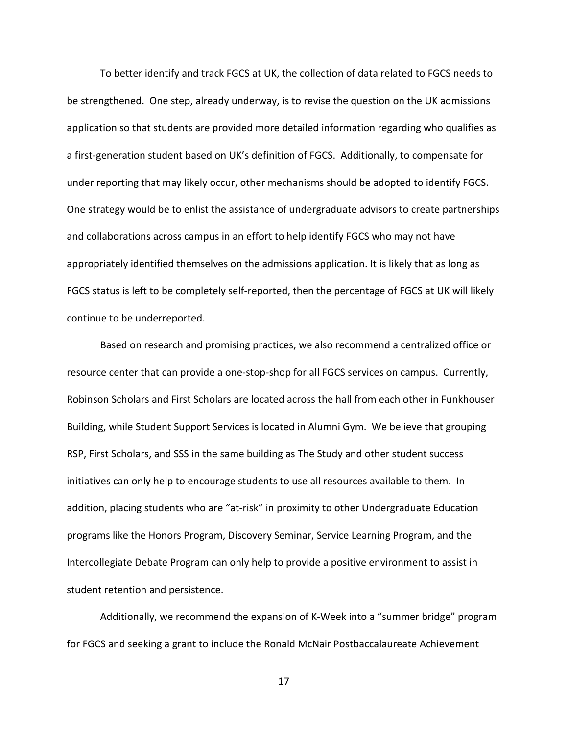To better identify and track FGCS at UK, the collection of data related to FGCS needs to be strengthened. One step, already underway, is to revise the question on the UK admissions application so that students are provided more detailed information regarding who qualifies as a first-generation student based on UK's definition of FGCS. Additionally, to compensate for under reporting that may likely occur, other mechanisms should be adopted to identify FGCS. One strategy would be to enlist the assistance of undergraduate advisors to create partnerships and collaborations across campus in an effort to help identify FGCS who may not have appropriately identified themselves on the admissions application. It is likely that as long as FGCS status is left to be completely self-reported, then the percentage of FGCS at UK will likely continue to be underreported.

Based on research and promising practices, we also recommend a centralized office or resource center that can provide a one-stop-shop for all FGCS services on campus. Currently, Robinson Scholars and First Scholars are located across the hall from each other in Funkhouser Building, while Student Support Services is located in Alumni Gym. We believe that grouping RSP, First Scholars, and SSS in the same building as The Study and other student success initiatives can only help to encourage students to use all resources available to them. In addition, placing students who are "at-risk" in proximity to other Undergraduate Education programs like the Honors Program, Discovery Seminar, Service Learning Program, and the Intercollegiate Debate Program can only help to provide a positive environment to assist in student retention and persistence.

Additionally, we recommend the expansion of K-Week into a "summer bridge" program for FGCS and seeking a grant to include the Ronald McNair Postbaccalaureate Achievement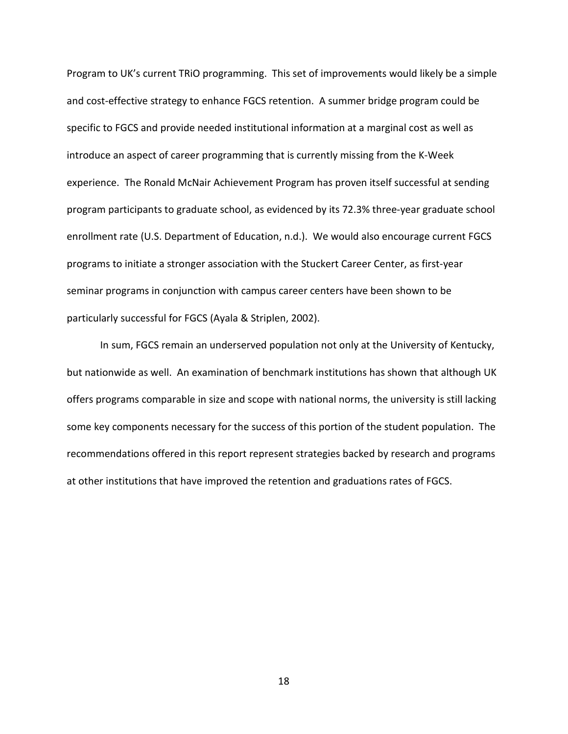Program to UK's current TRiO programming. This set of improvements would likely be a simple and cost-effective strategy to enhance FGCS retention. A summer bridge program could be specific to FGCS and provide needed institutional information at a marginal cost as well as introduce an aspect of career programming that is currently missing from the K-Week experience. The Ronald McNair Achievement Program has proven itself successful at sending program participants to graduate school, as evidenced by its 72.3% three-year graduate school enrollment rate (U.S. Department of Education, n.d.). We would also encourage current FGCS programs to initiate a stronger association with the Stuckert Career Center, as first-year seminar programs in conjunction with campus career centers have been shown to be particularly successful for FGCS (Ayala & Striplen, 2002).

In sum, FGCS remain an underserved population not only at the University of Kentucky, but nationwide as well. An examination of benchmark institutions has shown that although UK offers programs comparable in size and scope with national norms, the university is still lacking some key components necessary for the success of this portion of the student population. The recommendations offered in this report represent strategies backed by research and programs at other institutions that have improved the retention and graduations rates of FGCS.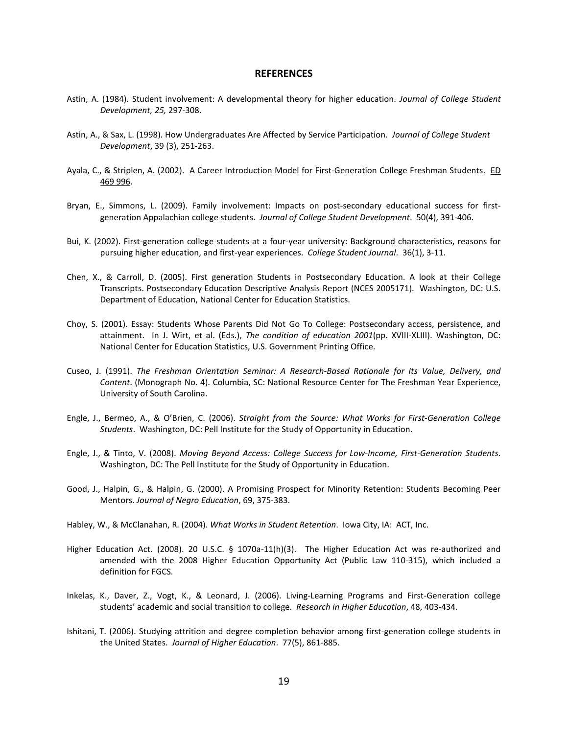#### **REFERENCES**

- Astin, A. (1984). Student involvement: A developmental theory for higher education. *Journal of College Student Development, 25,* 297-308.
- Astin, A., & Sax, L. (1998). How Undergraduates Are Affected by Service Participation. *Journal of College Student Development*, 39 (3), 251-263.
- Ayala, C., & Striplen, A. (2002). A Career Introduction Model for First-Generation College Freshman Students. ED 469 996.
- Bryan, E., Simmons, L. (2009). Family involvement: Impacts on post-secondary educational success for firstgeneration Appalachian college students. *Journal of College Student Development*. 50(4), 391-406.
- Bui, K. (2002). First-generation college students at a four-year university: Background characteristics, reasons for pursuing higher education, and first-year experiences. *College Student Journal*. 36(1), 3-11.
- Chen, X., & Carroll, D. (2005). First generation Students in Postsecondary Education. A look at their College Transcripts. Postsecondary Education Descriptive Analysis Report (NCES 2005171). Washington, DC: U.S. Department of Education, National Center for Education Statistics.
- Choy, S. (2001). Essay: Students Whose Parents Did Not Go To College: Postsecondary access, persistence, and attainment. In J. Wirt, et al. (Eds.), *The condition of education 2001*(pp. XVIII-XLIII). Washington, DC: National Center for Education Statistics, U.S. Government Printing Office.
- Cuseo, J. (1991). *The Freshman Orientation Seminar: A Research-Based Rationale for Its Value, Delivery, and Content*. (Monograph No. 4). Columbia, SC: National Resource Center for The Freshman Year Experience, University of South Carolina.
- Engle, J., Bermeo, A., & O'Brien, C. (2006). *Straight from the Source: What Works for First-Generation College Students*. Washington, DC: Pell Institute for the Study of Opportunity in Education.
- Engle, J., & Tinto, V. (2008). *Moving Beyond Access: College Success for Low-Income, First-Generation Students*. Washington, DC: The Pell Institute for the Study of Opportunity in Education.
- Good, J., Halpin, G., & Halpin, G. (2000). A Promising Prospect for Minority Retention: Students Becoming Peer Mentors. *Journal of Negro Education*, 69, 375-383.
- Habley, W., & McClanahan, R. (2004). *What Works in Student Retention*. Iowa City, IA: ACT, Inc.
- Higher Education Act. (2008). 20 U.S.C. § 1070a-11(h)(3). The Higher Education Act was re-authorized and amended with the 2008 Higher Education Opportunity Act (Public Law 110-315), which included a definition for FGCS.
- Inkelas, K., Daver, Z., Vogt, K., & Leonard, J. (2006). Living-Learning Programs and First-Generation college students' academic and social transition to college. *Research in Higher Education*, 48, 403-434.
- Ishitani, T. (2006). Studying attrition and degree completion behavior among first-generation college students in the United States. *Journal of Higher Education*. 77(5), 861-885.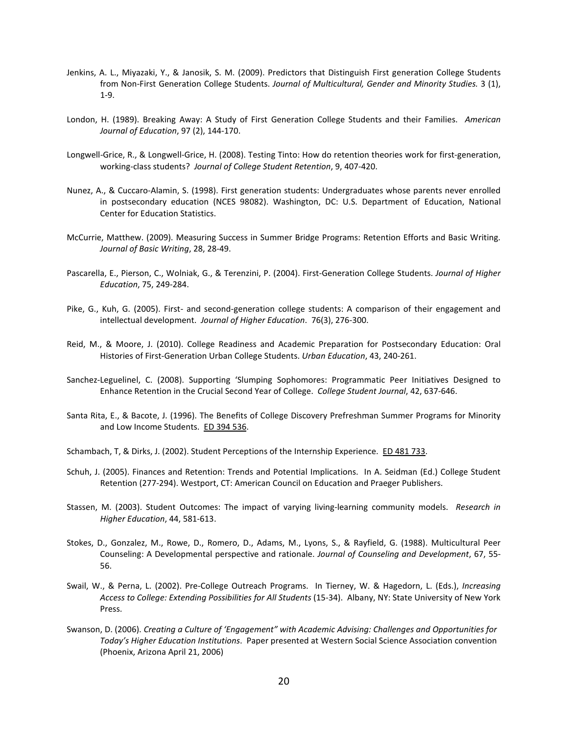- Jenkins, A. L., Miyazaki, Y., & Janosik, S. M. (2009). Predictors that Distinguish First generation College Students from Non-First Generation College Students. *Journal of Multicultural, Gender and Minority Studies.* 3 (1), 1-9.
- London, H. (1989). Breaking Away: A Study of First Generation College Students and their Families. *American Journal of Education*, 97 (2), 144-170.
- Longwell-Grice, R., & Longwell-Grice, H. (2008). Testing Tinto: How do retention theories work for first-generation, working-class students? *Journal of College Student Retention*, 9, 407-420.
- Nunez, A., & Cuccaro-Alamin, S. (1998). First generation students: Undergraduates whose parents never enrolled in postsecondary education (NCES 98082). Washington, DC: U.S. Department of Education, National Center for Education Statistics.
- McCurrie, Matthew. (2009). Measuring Success in Summer Bridge Programs: Retention Efforts and Basic Writing. *Journal of Basic Writing*, 28, 28-49.
- Pascarella, E., Pierson, C., Wolniak, G., & Terenzini, P. (2004). First-Generation College Students. *Journal of Higher Education*, 75, 249-284.
- Pike, G., Kuh, G. (2005). First- and second-generation college students: A comparison of their engagement and intellectual development. *Journal of Higher Education*. 76(3), 276-300.
- Reid, M., & Moore, J. (2010). College Readiness and Academic Preparation for Postsecondary Education: Oral Histories of First-Generation Urban College Students. *Urban Education*, 43, 240-261.
- Sanchez-Leguelinel, C. (2008). Supporting 'Slumping Sophomores: Programmatic Peer Initiatives Designed to Enhance Retention in the Crucial Second Year of College. *College Student Journal*, 42, 637-646.
- Santa Rita, E., & Bacote, J. (1996). The Benefits of College Discovery Prefreshman Summer Programs for Minority and Low Income Students. ED 394 536.
- Schambach, T, & Dirks, J. (2002). Student Perceptions of the Internship Experience. ED 481 733.
- Schuh, J. (2005). Finances and Retention: Trends and Potential Implications. In A. Seidman (Ed.) College Student Retention (277-294). Westport, CT: American Council on Education and Praeger Publishers.
- Stassen, M. (2003). Student Outcomes: The impact of varying living-learning community models. *Research in Higher Education*, 44, 581-613.
- Stokes, D., Gonzalez, M., Rowe, D., Romero, D., Adams, M., Lyons, S., & Rayfield, G. (1988). Multicultural Peer Counseling: A Developmental perspective and rationale. *Journal of Counseling and Development*, 67, 55- 56.
- Swail, W., & Perna, L. (2002). Pre-College Outreach Programs. In Tierney, W. & Hagedorn, L. (Eds.), *Increasing Access to College: Extending Possibilities for All Students* (15-34). Albany, NY: State University of New York Press.
- Swanson, D. (2006). *Creating a Culture of 'Engagement" with Academic Advising: Challenges and Opportunities for Today's Higher Education Institutions*. Paper presented at Western Social Science Association convention (Phoenix, Arizona April 21, 2006)